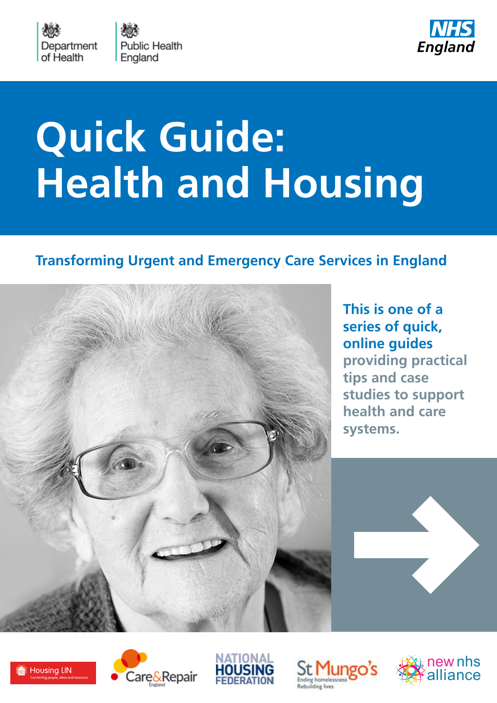

**Public Health** England



# **Quick Guide: Health and Housing**

# **Transforming Urgent and Emergency Care Services in England**



**[This is one of a](http://www.nhs.uk/quickguides)  [series of quick,](http://www.nhs.uk/quickguides)  [online guides](http://www.nhs.uk/quickguides) providing practical tips and case studies to support health and care systems.**











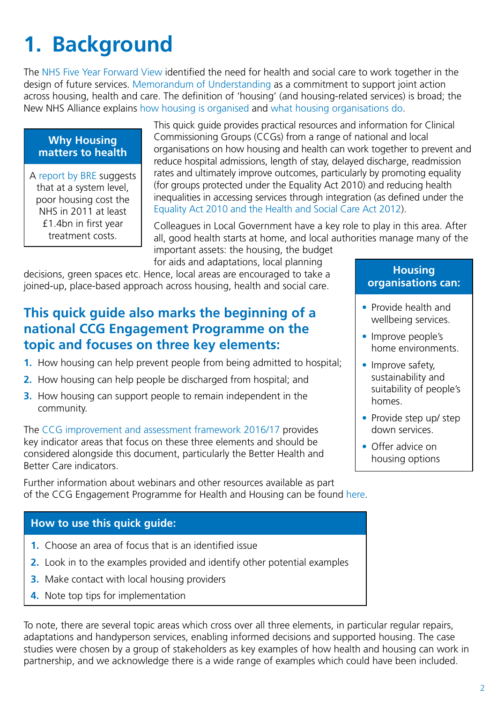# **1. Background**

The [NHS Five Year Forward View](https://www.england.nhs.uk/ourwork/futurenhs/) identified the need for health and social care to work together in the design of future services. [Memorandum of Understanding](http://www.housinglin.org.uk/Topics/browse/HealthandHousing/HealthPolicy/Policy/?parent=8683&child=9425) as a commitment to support joint action across housing, health and care. The definition of 'housing' (and housing-related services) is broad; the New NHS Alliance explains [how housing is organised](http://www.housingforhealth.net/how-is-housing-organised/) and [what housing organisations do.](http://www.housingforhealth.net/what-do-housing-organisations-do/)

#### **Why Housing matters to health**

A [report by BRE](http://www.brebookshop.com/samples/327671.pdf) suggests that at a system level, poor housing cost the NHS in 2011 at least £1.4bn in first year treatment costs.

This quick guide provides practical resources and information for Clinical Commissioning Groups (CCGs) from a range of national and local organisations on how housing and health can work together to prevent and reduce hospital admissions, length of stay, delayed discharge, readmission rates and ultimately improve outcomes, particularly by promoting equality (for groups protected under the Equality Act 2010) and reducing health inequalities in accessing services through integration (as defined under the [Equality Act 2010 and the Health and Social Care Act 2012\)](https://www.england.nhs.uk/about/gov/equality-hub/legal-duties/).

Colleagues in Local Government have a key role to play in this area. After all, good health starts at home, and local authorities manage many of the important assets: the housing, the budget

for aids and adaptations, local planning

decisions, green spaces etc. Hence, local areas are encouraged to take a joined-up, place-based approach across housing, health and social care.

### **This quick guide also marks the beginning of a national CCG Engagement Programme on the topic and focuses on three key elements:**

- **1.** How housing can help prevent people from being admitted to hospital;
- **2.** How housing can help people be discharged from hospital; and
- **3.** How housing can support people to remain independent in the community.

The [CCG improvement and assessment framework 2016/17](https://www.england.nhs.uk/commissioning/wp-content/uploads/sites/12/2016/03/ccg-iaf-mar16.pdf) provides key indicator areas that focus on these three elements and should be considered alongside this document, particularly the Better Health and Better Care indicators.

Further information about webinars and other resources available as part of the CCG Engagement Programme for Health and Housing can be found [here](https://www.england.nhs.uk/commissioning/health-housing/).

#### **How to use this quick guide:**

- **1.** Choose an area of focus that is an identified issue
- **2.** Look in to the examples provided and identify other potential examples
- **3.** Make contact with local housing providers
- **4.** Note top tips for implementation

To note, there are several topic areas which cross over all three elements, in particular regular repairs, adaptations and handyperson services, enabling informed decisions and supported housing. The case studies were chosen by a group of stakeholders as key examples of how health and housing can work in partnership, and we acknowledge there is a wide range of examples which could have been included.

#### **Housing organisations can:**

- Provide health and wellbeing services.
- Improve people's home environments.
- Improve safety, sustainability and suitability of people's homes.
- Provide step up/ step down services.
- Offer advice on housing options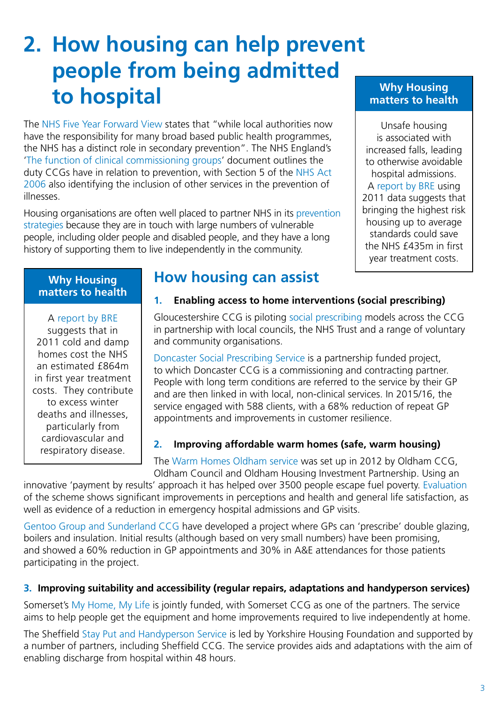# **2. How housing can help prevent people from being admitted to hospital**

The [NHS Five Year Forward View](https://www.england.nhs.uk/ourwork/futurenhs/) states that "while local authorities now have the responsibility for many broad based public health programmes, the NHS has a distinct role in secondary prevention". The NHS England's '[The function of clinical commissioning groups'](https://www.england.nhs.uk/wp-content/uploads/2013/03/a-functions-ccgs.pdf) document outlines the duty CCGs have in relation to prevention, with Section 5 of the [NHS Act](http://www.legislation.gov.uk/ukpga/2006/41/part/1)  [2006](http://www.legislation.gov.uk/ukpga/2006/41/part/1) also identifying the inclusion of other services in the prevention of illnesses.

Housing organisations are often well placed to partner NHS in its [prevention](http://www.housingforhealth.net/proactive-prevention-and-early-intervention/)  [strategies](http://www.housingforhealth.net/proactive-prevention-and-early-intervention/) because they are in touch with large numbers of vulnerable people, including older people and disabled people, and they have a long history of supporting them to live independently in the community.

#### **Why Housing matters to health**

Unsafe housing is associated with increased falls, leading to otherwise avoidable hospital admissions. A [report by BRE](http://www.brebookshop.com/samples/327671.pdf) using 2011 data suggests that bringing the highest risk housing up to average standards could save the NHS  $f$ 435m in first year treatment costs.

#### **Why Housing matters to health**

A [report by BRE](http://www.brebookshop.com/samples/327671.pdf) suggests that in 2011 cold and damp homes cost the NHS an estimated £864m in first year treatment costs. They contribute to excess winter deaths and illnesses, particularly from cardiovascular and respiratory disease.

### **How housing can assist**

#### **1. Enabling access to home interventions (social prescribing)**

Gloucestershire CCG is piloting [social prescribing](http://www.gloucestershireccg.nhs.uk/social-prescribing-making-an-impact/) models across the CCG in partnership with local councils, the NHS Trust and a range of voluntary and community organisations.

[Doncaster Social Prescribing Service](http://www.housingforhealth.net/doncaster-social-prescribing-service/) is a partnership funded project, to which Doncaster CCG is a commissioning and contracting partner. People with long term conditions are referred to the service by their GP and are then linked in with local, non-clinical services. In 2015/16, the service engaged with 588 clients, with a 68% reduction of repeat GP appointments and improvements in customer resilience.

#### **2. Improving affordable warm homes (safe, warm housing)**

The [Warm Homes Oldham service](http://www.warmhomesoldham.org/) was set up in 2012 by Oldham CCG, Oldham Council and Oldham Housing Investment Partnership. Using an

innovative 'payment by results' approach it has helped over 3500 people escape fuel poverty. [Evaluation](https://is.gd/zLKLIf) of the scheme shows significant improvements in perceptions and health and general life satisfaction, as well as evidence of a reduction in emergency hospital admissions and GP visits.

[Gentoo Group and Sunderland CCG](http://www.gentoogroup.com/for-customers/news/2016/march/boilers-on-prescription-scheme-reduces-gp-appointments-by-60/) have developed a project where GPs can 'prescribe' double glazing, boilers and insulation. Initial results (although based on very small numbers) have been promising, and showed a 60% reduction in GP appointments and 30% in A&E attendances for those patients participating in the project.

#### **3. Improving suitability and accessibility (regular repairs, adaptations and handyperson services)**

Somerset's [My Home, My Life](http://www.somersetmyhomemylife.com/) is jointly funded, with Somerset CCG as one of the partners. The service aims to help people get the equipment and home improvements required to live independently at home.

The Sheffield [Stay Put and Handyperson Service](https://www.yorkshirehousing.co.uk/home-improvement/sheffield) is led by Yorkshire Housing Foundation and supported by a number of partners, including Sheffield CCG. The service provides aids and adaptations with the aim of enabling discharge from hospital within 48 hours.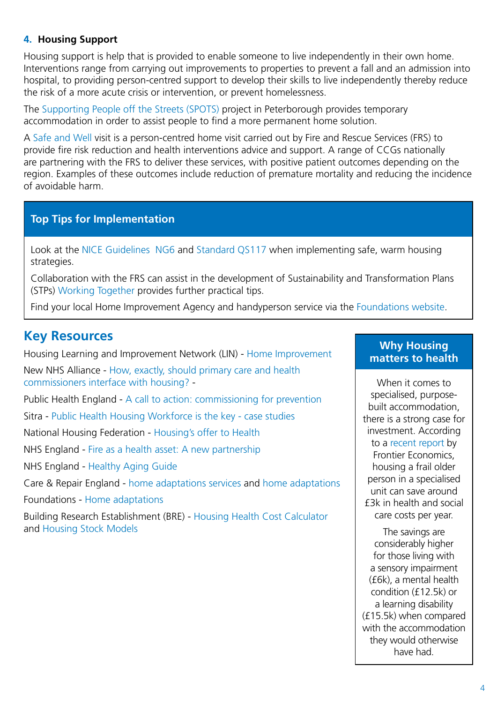#### **4. Housing Support**

Housing support is help that is provided to enable someone to live independently in their own home. Interventions range from carrying out improvements to properties to prevent a fall and an admission into hospital, to providing person-centred support to develop their skills to live independently thereby reduce the risk of a more acute crisis or intervention, or prevent homelessness.

The [Supporting People off the Streets \(SPOTS\)](http://www.housing.org.uk/topics/health-care-and-housing/what-do-good-partnerships-look-like/partnership-case-studies/partnership-case-study-supporting-people-off-the-streets-spots-by-axiom/) project in Peterborough provides temporary accommodation in order to assist people to find a more permanent home solution.

A [Safe and Well](http://www.cfoa.org.uk/19832) visit is a person-centred home visit carried out by Fire and Rescue Services (FRS) to provide fire risk reduction and health interventions advice and support. A range of CCGs nationally are partnering with the FRS to deliver these services, with positive patient outcomes depending on the region. Examples of these outcomes include reduction of premature mortality and reducing the incidence of avoidable harm.

#### **Top Tips for Implementation**

Look at the [NICE Guidelines NG6](https://www.nice.org.uk/guidance/ng6) and [Standard QS117](https://www.nice.org.uk/guidance/qs117) when implementing safe, warm housing strategies.

Collaboration with the FRS can assist in the development of Sustainability and Transformation Plans (STPs) [Working Together](https://www.england.nhs.uk/wp-content/uploads/2015/10/working-together.pdf) provides further practical tips.

Find your local Home Improvement Agency and handyperson service via the [Foundations website.](http://www.foundations.uk.com/)

#### **Key Resources**

Housing Learning and Improvement Network (LIN) - [Home Improvement](http://www.housinglin.org.uk/Topics/browse/Housing/HomeImprovement/) New NHS Alliance - [How, exactly, should primary care and health](http://www.housingforhealth.net/how-exactly-should-general-practice-interface-with-housing/)  [commissioners interface with housing?](http://www.housingforhealth.net/how-exactly-should-general-practice-interface-with-housing/) -

Public Health England - [A call to action: commissioning for prevention](https://www.gov.uk/government/collections/housing-for-health)

Sitra - [Public Health Housing Workforce is the key - case studies](http://www.sitra.org/documents/public-health-housing-workforce-is-the-key-case-studies/?preview=true)

National Housing Federation - [Housing's offer to Health](http://www.housing.org.uk/topics/health-care-and-housing/housings-offer-to-health/)

NHS England - [Fire as a health asset: A new partnership](https://www.england.nhs.uk/resources/resources-for-ccgs/out-frwrk/dom-2/fire-asset/)

NHS England - [Healthy Aging Guide](https://www.england.nhs.uk/resources/resources-for-ccgs/out-frwrk/dom-2/healthy-ageing/)

Care & Repair England - [home adaptations services](https://homeadaptationsconsortium.wordpress.com/good-practice/) and [home adaptations](https://homeadaptationsconsortium.files.wordpress.com/2013/10/integration-briefing-3-final.pdf)

Foundations - [Home adaptations](http://www.foundations.uk.com/resources/home-adaptations/)

Building Research Establishment (BRE) - [Housing Health Cost Calculator](https://www.bre.co.uk/page.jsp?id=3021) and [Housing Stock Models](https://www.bre.co.uk/housing-stock-modelling)

#### **Why Housing matters to health**

When it comes to specialised, purposebuilt accommodation, there is a strong case for investment. According to a [recent report](http://www.frontier-economics.com/publications/financial-benefits-of-investment/) by Frontier Economics, housing a frail older person in a specialised unit can save around £3k in health and social care costs per year.

The savings are considerably higher for those living with a sensory impairment (£6k), a mental health condition (£12.5k) or a learning disability (£15.5k) when compared with the accommodation they would otherwise have had.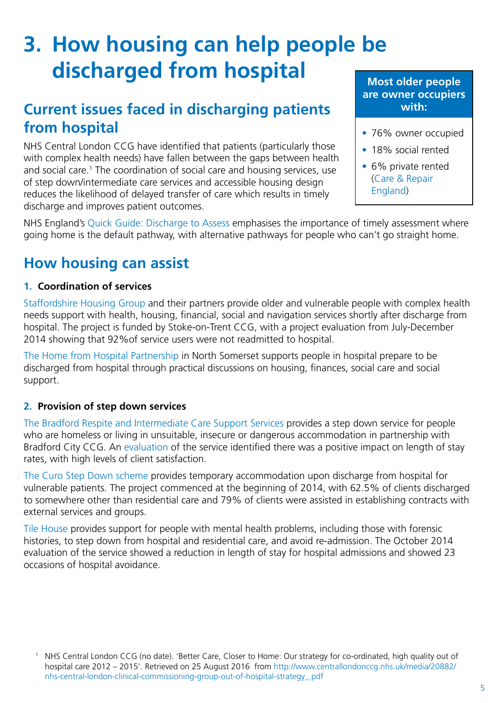# **3. How housing can help people be discharged from hospital**

# **Current issues faced in discharging patients from hospital**

NHS Central London CCG have identified that patients (particularly those with complex health needs) have fallen between the gaps between health and social care.<sup>1</sup> The coordination of social care and housing services, use of step down/intermediate care services and accessible housing design reduces the likelihood of delayed transfer of care which results in timely discharge and improves patient outcomes.

#### **Most older people are owner occupiers with:**

- 76% owner occupied
- 18% social rented
- 6% private rented [\(Care & Repair](http://careandrepair-england.org.uk/wp-content/uploads/2014/12/Infographic-final.pdf)  [England](http://careandrepair-england.org.uk/wp-content/uploads/2014/12/Infographic-final.pdf))

NHS England's [Quick Guide: Discharge to Assess](http://www.nhs.uk/NHSEngland/keogh-review/Documents/quick-guides/Quick-Guide-discharge-to-access.pdf) emphasises the importance of timely assessment where going home is the default pathway, with alternative pathways for people who can't go straight home.

# **How housing can assist**

#### **1. Coordination of services**

[Staffordshire Housing Group](http://www.housingforhealth.net/hospital-discharge-intensive-home-support-scheme/) and their partners provide older and vulnerable people with complex health needs support with health, housing, financial, social and navigation services shortly after discharge from hospital. The project is funded by Stoke-on-Trent CCG, with a project evaluation from July-December 2014 showing that 92%of service users were not readmitted to hospital.

[The Home from Hospital Partnership](http://www.waht.nhs.uk/PageFiles/7318/Alliance Home From Hospital Leaflet.pdf) in North Somerset supports people in hospital prepare to be discharged from hospital through practical discussions on housing, finances, social care and social support.

#### **2. Provision of step down services**

[The Bradford Respite and Intermediate Care Support Services](https://www.housing.org.uk/topics/health-care-and-housing/health-hub/building-partnerships/briccs/) provides a step down service for people who are homeless or living in unsuitable, insecure or dangerous accommodation in partnership with Bradford City CCG. An [evaluation](http://www.hortonhousing.co.uk/uploads/File/services/FINAL_REPORT_-_EXEC_SUMMARY_-_Oct14_22_10_14_1__431432.pdf) of the service identified there was a positive impact on length of stay rates, with high levels of client satisfaction.

[The Curo Step Down scheme](http://www.housingforhealth.net/curo-step-down/) provides temporary accommodation upon discharge from hospital for vulnerable patients. The project commenced at the beginning of 2014, with 62.5% of clients discharged to somewhere other than residential care and 79% of clients were assisted in establishing contracts with external services and groups.

[Tile House](http://www.candi.nhs.uk/sites/default/files/Documents/integratoin that works.pdf) provides support for people with mental health problems, including those with forensic histories, to step down from hospital and residential care, and avoid re-admission. The October 2014 evaluation of the service showed a reduction in length of stay for hospital admissions and showed 23 occasions of hospital avoidance.

<sup>1</sup> NHS Central London CCG (no date). 'Better Care, Closer to Home: Our strategy for co-ordinated, high quality out of hospital care 2012 – 2015'. Retrieved on 25 August 2016 from [http://www.centrallondonccg.nhs.uk/media/20882/](http://www.centrallondonccg.nhs.uk/media/20882/nhs-central-london-clinical-commissioning-group-out-of-hospital-strategy_.pdf) [nhs-central-london-clinical-commissioning-group-out-of-hospital-strategy\\_.pdf](http://www.centrallondonccg.nhs.uk/media/20882/nhs-central-london-clinical-commissioning-group-out-of-hospital-strategy_.pdf)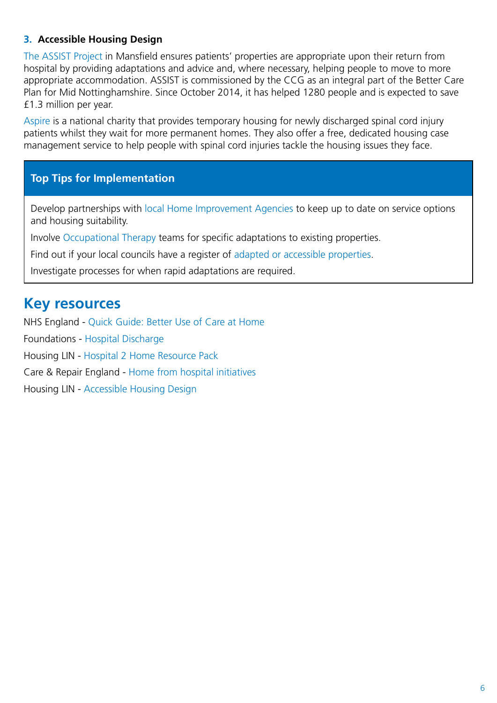#### **3. Accessible Housing Design**

[The ASSIST Project](http://www.housingforhealth.net/assist-hospital-discharge-scheme-in-mansfield/) in Mansfield ensures patients' properties are appropriate upon their return from hospital by providing adaptations and advice and, where necessary, helping people to move to more appropriate accommodation. ASSIST is commissioned by the CCG as an integral part of the Better Care Plan for Mid Nottinghamshire. Since October 2014, it has helped 1280 people and is expected to save £1.3 million per year.

[Aspire](http://www.nhs.uk/ipgmedia/national/aspire/assets/aspirehousing-atemporaryhomewhilelong-termaccommodationisbeingarranged.pdf) is a national charity that provides temporary housing for newly discharged spinal cord injury patients whilst they wait for more permanent homes. They also offer a free, dedicated housing case management service to help people with spinal cord injuries tackle the housing issues they face.

#### **Top Tips for Implementation**

Develop partnerships with [local Home Improvement Agencies](http://www.findmyhia.org.uk/) to keep up to date on service options and housing suitability.

Involve [Occupational Therapy](https://www.cot.co.uk/publication/z-listing/home-adaptations-care-act-2014-and-related-provision-across-united-kingdom) teams for specific adaptations to existing properties.

Find out if your local councils have a register of [adapted or accessible properties](http://www.housinglin.org.uk/_library/Resources/Housing/Support_materials/Viewpoints/HLIN_Viewpoint_35_Accessible_Housing_Registers.pdf).

Investigate processes for when rapid adaptations are required.

### **Key resources**

NHS England - [Quick Guide: Better Use of Care at Home](http://www.nhs.uk/NHSEngland/keogh-review/Documents/quick-guides/Quick-Guide-better-use-of-care-at-home.pdf) 

Foundations - [Hospital Discharge](http://www.foundations.uk.com/resources/health-and-housing/hospital-discharge/)

Housing LIN - [Hospital 2 Home Resource Pack](http://www.housinglin.org.uk/hospital2home_pack/)

Care & Repair England - [Home from hospital initiatives](http://careandrepair-england.org.uk/home-from-hospital-initiatives/)

Housing LIN - [Accessible Housing Design](http://www.housinglin.org.uk/Topics/browse/Design_building/AccessibleDesign/)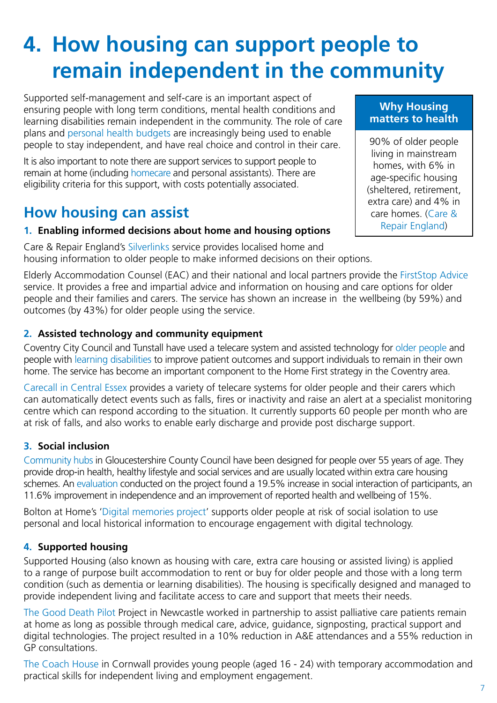# **4. How housing can support people to remain independent in the community**

Supported self-management and self-care is an important aspect of ensuring people with long term conditions, mental health conditions and learning disabilities remain independent in the community. The role of care plans and [personal health budgets](http://www.personalhealthbudgets.england.nhs.uk/) are increasingly being used to enable people to stay independent, and have real choice and control in their care.

It is also important to note there are support services to support people to remain at home (including [homecare](http://www.ukhca.co.uk/findcare/) and personal assistants). There are eligibility criteria for this support, with costs potentially associated.

## **How housing can assist**

#### **1. Enabling informed decisions about home and housing options**

Care & Repair England's [Silverlinks](http://careandrepair-england.org.uk/silverlinks/) service provides localised home and housing information to older people to make informed decisions on their options.

Elderly Accommodation Counsel (EAC) and their national and local partners provide the [FirstStop Advice](http://www.firststopcareadvice.org.uk/abt/) service. It provides a free and impartial advice and information on housing and care options for older people and their families and carers. The service has shown an increase in the wellbeing (by 59%) and outcomes (by 43%) for older people using the service.

#### **2. Assisted technology and community equipment**

Coventry City Council and Tunstall have used a telecare system and assisted technology for [older people](http://uk.tunstall.com/Uploads/Documents/Coventry City Council Telecare Case Study.pdf) and people with [learning disabilities](http://uk.tunstall.com/Uploads/Documents/Real Life Options - using telecare to support people with learning disabilities.pdf) to improve patient outcomes and support individuals to remain in their own home. The service has become an important component to the Home First strategy in the Coventry area.

[Carecall in Central Essex](http://uk.tunstall.com/Uploads/Documents/NHS Central Essex Community Services - Supporting carers with telehealthcare.pdf) provides a variety of telecare systems for older people and their carers which can automatically detect events such as falls, fires or inactivity and raise an alert at a specialist monitoring centre which can respond according to the situation. It currently supports 60 people per month who are at risk of falls, and also works to enable early discharge and provide post discharge support.

#### **3. Social inclusion**

[Community hubs](http://www.housinglin.org.uk/_library/Resources/Housing/Practice_examples/Housing_LIN_case_studies/HLIN_CaseStudy_106_CommunityHubs.pdf) in Gloucestershire County Council have been designed for people over 55 years of age. They provide drop-in health, healthy lifestyle and social services and are usually located within extra care housing schemes. An [evaluation](http://www.housinglin.org.uk/_library/Resources/Housing/Practice_examples/Housing_LIN_case_studies/HLIN_CaseStudy_106_CommunityHubs.pdf) conducted on the project found a 19.5% increase in social interaction of participants, an 11.6% improvement in independence and an improvement of reported health and wellbeing of 15%.

Bolton at Home's ['Digital memories project'](http://www.housing.org.uk/topics/health-care-and-housing/what-do-good-partnerships-look-like/partnership-case-studies/partnership-case-study-digital-memories-project-by-bolton-at-home/) supports older people at risk of social isolation to use personal and local historical information to encourage engagement with digital technology.

#### **4. Supported housing**

Supported Housing (also known as housing with care, extra care housing or assisted living) is applied to a range of purpose built accommodation to rent or buy for older people and those with a long term condition (such as dementia or learning disabilities). The housing is specifically designed and managed to provide independent living and facilitate access to care and support that meets their needs.

[The Good Death Pilot](http://www.housingforhealth.net/good-death-pilot-project-newcastle/) Project in Newcastle worked in partnership to assist palliative care patients remain at home as long as possible through medical care, advice, guidance, signposting, practical support and digital technologies. The project resulted in a 10% reduction in A&E attendances and a 55% reduction in GP consultations.

[The Coach House](https://www.supportincornwall.org.uk/kb5/cornwall/directory/service.page?id=7tCDc3Y9hiE) in Cornwall provides young people (aged 16 - 24) with temporary accommodation and practical skills for independent living and employment engagement.

#### **Why Housing matters to health**

90% of older people living in mainstream homes, with 6% in age-specific housing (sheltered, retirement, extra care) and 4% in care homes. ([Care &](http://careandrepair-england.org.uk/wp-content/uploads/2014/12/Infographic-final.pdf)  [Repair England\)](http://careandrepair-england.org.uk/wp-content/uploads/2014/12/Infographic-final.pdf)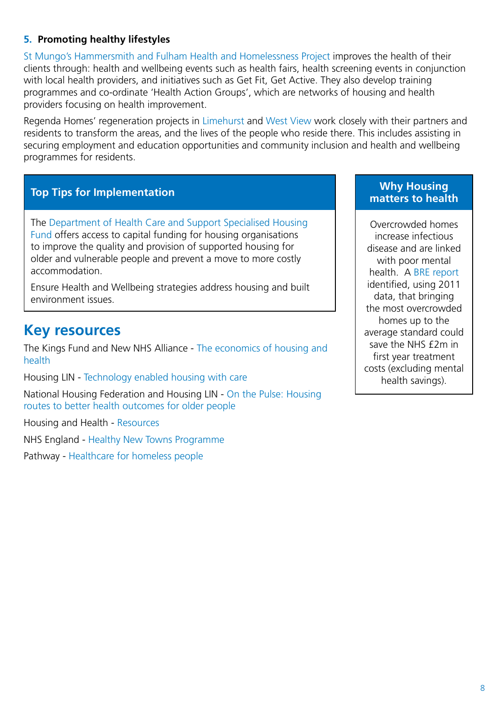#### **5. Promoting healthy lifestyles**

[St Mungo's Hammersmith and Fulham Health and Homelessness Project](http://www.mungos.org/health_and_homelessness_project) improves the health of their clients through: health and wellbeing events such as health fairs, health screening events in conjunction with local health providers, and initiatives such as Get Fit, Get Active. They also develop training programmes and co-ordinate 'Health Action Groups', which are networks of housing and health providers focusing on health improvement.

Regenda Homes' regeneration projects in [Limehurst](https://www.regenda.org.uk/limehurst-vision) and [West View](https://www.regenda.org.uk/west-view-project) work closely with their partners and residents to transform the areas, and the lives of the people who reside there. This includes assisting in securing employment and education opportunities and community inclusion and health and wellbeing programmes for residents.

#### **Top Tips for Implementation**

The [Department of Health Care and Support Specialised Housing](http://www.housinglin.org.uk/Topics/browse/HousingExtraCare/FundingExtraCareHousing/DHCapitalFundingProgramme/CASSHF2015-18/)  [Fund](http://www.housinglin.org.uk/Topics/browse/HousingExtraCare/FundingExtraCareHousing/DHCapitalFundingProgramme/CASSHF2015-18/) offers access to capital funding for housing organisations to improve the quality and provision of supported housing for older and vulnerable people and prevent a move to more costly accommodation.

Ensure Health and Wellbeing strategies address housing and built environment issues.

### **Key resources**

The Kings Fund and New NHS Alliance - [The economics of housing and](http://www.kingsfund.org.uk/publications/economics-housing-health)  [health](http://www.kingsfund.org.uk/publications/economics-housing-health)

Housing LIN - [Technology enabled housing with care](http://www.housinglin.org.uk/_library/Resources/Housing/Practice_examples/Other_case_studies/Housing_LIN_technology_enabled_housing_scenarios_FINAL_29.2.16.pdf)

National Housing Federation and Housing LIN - [On the Pulse: Housing](http://www.housinglin.org.uk/_library/Resources/Housing/OtherOrganisation/OnThePulse.pdf)  [routes to better health outcomes for older people](http://www.housinglin.org.uk/_library/Resources/Housing/OtherOrganisation/OnThePulse.pdf)

Housing and Health - [Resources](http://www.housingandhealth.org/resources)

NHS England - [Healthy New Towns Programme](https://www.england.nhs.uk/ourwork/innovation/healthy-new-towns/)

Pathway - [Healthcare for homeless people](http://www.pathway.org.uk/teams/)

#### **Why Housing matters to health**

Overcrowded homes increase infectious disease and are linked with poor mental health. A [BRE report](http://www.brebookshop.com/samples/327671.pdf) identified, using 2011 data, that bringing the most overcrowded homes up to the average standard could save the NHS £2m in first year treatment costs (excluding mental health savings).